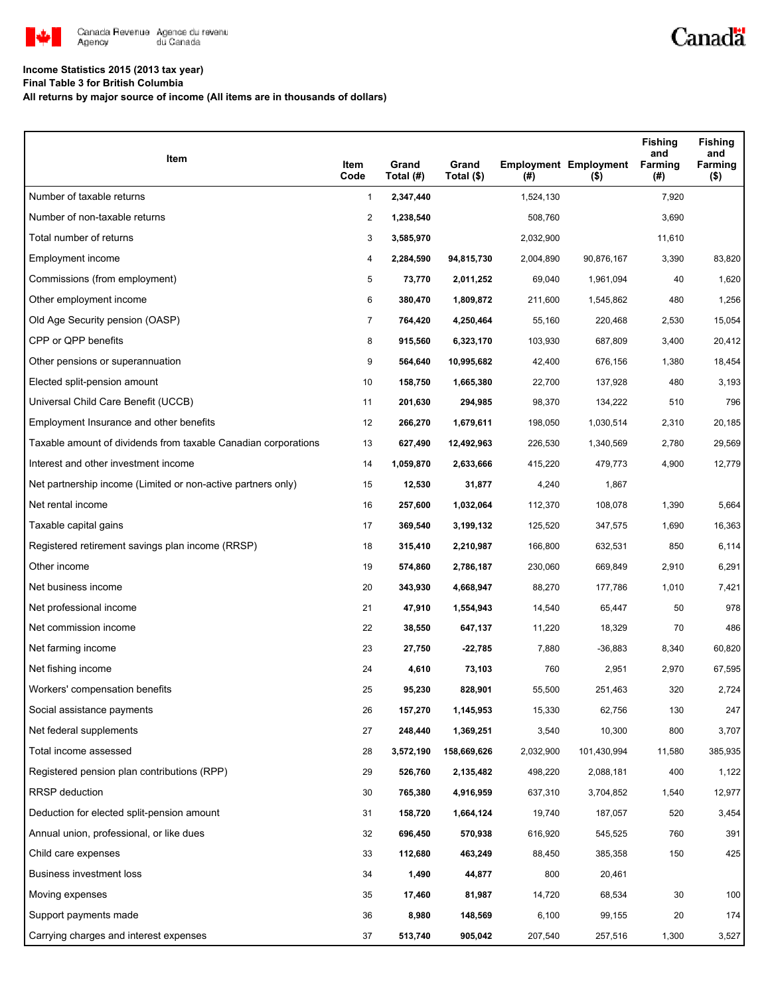

## **Income Statistics 2015 (2013 tax year)**

**Final Table 3 for British Columbia**

**All returns by major source of income (All items are in thousands of dollars)**

| Item                                                           | Item<br>Code   | Grand<br>Total (#) | Grand<br>Total (\$) | $($ #)    | <b>Employment Employment</b><br>$($ \$) | <b>Fishing</b><br>and<br>Farming<br>(#) | <b>Fishing</b><br>and<br>Farming<br>$($ \$) |
|----------------------------------------------------------------|----------------|--------------------|---------------------|-----------|-----------------------------------------|-----------------------------------------|---------------------------------------------|
| Number of taxable returns                                      | $\mathbf{1}$   | 2,347,440          |                     | 1,524,130 |                                         | 7,920                                   |                                             |
| Number of non-taxable returns                                  | 2              | 1,238,540          |                     | 508,760   |                                         | 3,690                                   |                                             |
| Total number of returns                                        | 3              | 3,585,970          |                     | 2,032,900 |                                         | 11,610                                  |                                             |
| Employment income                                              | 4              | 2,284,590          | 94,815,730          | 2,004,890 | 90,876,167                              | 3,390                                   | 83,820                                      |
| Commissions (from employment)                                  | 5              | 73,770             | 2,011,252           | 69,040    | 1,961,094                               | 40                                      | 1,620                                       |
| Other employment income                                        | 6              | 380,470            | 1,809,872           | 211,600   | 1,545,862                               | 480                                     | 1,256                                       |
| Old Age Security pension (OASP)                                | $\overline{7}$ | 764,420            | 4,250,464           | 55,160    | 220,468                                 | 2,530                                   | 15,054                                      |
| CPP or QPP benefits                                            | 8              | 915,560            | 6,323,170           | 103,930   | 687,809                                 | 3,400                                   | 20,412                                      |
| Other pensions or superannuation                               | 9              | 564,640            | 10,995,682          | 42,400    | 676,156                                 | 1,380                                   | 18,454                                      |
| Elected split-pension amount                                   | 10             | 158,750            | 1,665,380           | 22,700    | 137,928                                 | 480                                     | 3,193                                       |
| Universal Child Care Benefit (UCCB)                            | 11             | 201,630            | 294,985             | 98,370    | 134,222                                 | 510                                     | 796                                         |
| Employment Insurance and other benefits                        | 12             | 266,270            | 1,679,611           | 198,050   | 1,030,514                               | 2,310                                   | 20,185                                      |
| Taxable amount of dividends from taxable Canadian corporations | 13             | 627,490            | 12,492,963          | 226,530   | 1,340,569                               | 2,780                                   | 29,569                                      |
| Interest and other investment income                           | 14             | 1,059,870          | 2,633,666           | 415,220   | 479,773                                 | 4,900                                   | 12,779                                      |
| Net partnership income (Limited or non-active partners only)   | 15             | 12,530             | 31,877              | 4,240     | 1,867                                   |                                         |                                             |
| Net rental income                                              | 16             | 257,600            | 1,032,064           | 112,370   | 108,078                                 | 1,390                                   | 5,664                                       |
| Taxable capital gains                                          | 17             | 369,540            | 3,199,132           | 125,520   | 347,575                                 | 1,690                                   | 16,363                                      |
| Registered retirement savings plan income (RRSP)               | 18             | 315,410            | 2,210,987           | 166,800   | 632,531                                 | 850                                     | 6,114                                       |
| Other income                                                   | 19             | 574,860            | 2,786,187           | 230,060   | 669,849                                 | 2,910                                   | 6,291                                       |
| Net business income                                            | 20             | 343,930            | 4,668,947           | 88,270    | 177,786                                 | 1,010                                   | 7,421                                       |
| Net professional income                                        | 21             | 47,910             | 1,554,943           | 14,540    | 65,447                                  | 50                                      | 978                                         |
| Net commission income                                          | 22             | 38,550             | 647,137             | 11,220    | 18,329                                  | 70                                      | 486                                         |
| Net farming income                                             | 23             | 27,750             | $-22,785$           | 7,880     | $-36,883$                               | 8,340                                   | 60,820                                      |
| Net fishing income                                             | 24             | 4,610              | 73,103              | 760       | 2,951                                   | 2,970                                   | 67,595                                      |
| Workers' compensation benefits                                 | 25             | 95,230             | 828,901             | 55,500    | 251,463                                 | 320                                     | 2,724                                       |
| Social assistance payments                                     | 26             | 157,270            | 1,145,953           | 15,330    | 62,756                                  | 130                                     | 247                                         |
| Net federal supplements                                        | 27             | 248,440            | 1,369,251           | 3,540     | 10,300                                  | 800                                     | 3,707                                       |
| Total income assessed                                          | 28             | 3,572,190          | 158,669,626         | 2,032,900 | 101,430,994                             | 11,580                                  | 385,935                                     |
| Registered pension plan contributions (RPP)                    | 29             | 526,760            | 2,135,482           | 498,220   | 2,088,181                               | 400                                     | 1,122                                       |
| <b>RRSP</b> deduction                                          | 30             | 765,380            | 4,916,959           | 637,310   | 3,704,852                               | 1,540                                   | 12,977                                      |
| Deduction for elected split-pension amount                     | 31             | 158,720            | 1,664,124           | 19,740    | 187,057                                 | 520                                     | 3,454                                       |
| Annual union, professional, or like dues                       | 32             | 696,450            | 570,938             | 616,920   | 545,525                                 | 760                                     | 391                                         |
| Child care expenses                                            | 33             | 112,680            | 463,249             | 88,450    | 385,358                                 | 150                                     | 425                                         |
| Business investment loss                                       | 34             | 1,490              | 44,877              | 800       | 20,461                                  |                                         |                                             |
| Moving expenses                                                | 35             | 17,460             | 81,987              | 14,720    | 68,534                                  | 30                                      | 100                                         |
| Support payments made                                          | 36             | 8,980              | 148,569             | 6,100     | 99,155                                  | 20                                      | 174                                         |
| Carrying charges and interest expenses                         | 37             | 513,740            | 905,042             | 207,540   | 257,516                                 | 1,300                                   | 3,527                                       |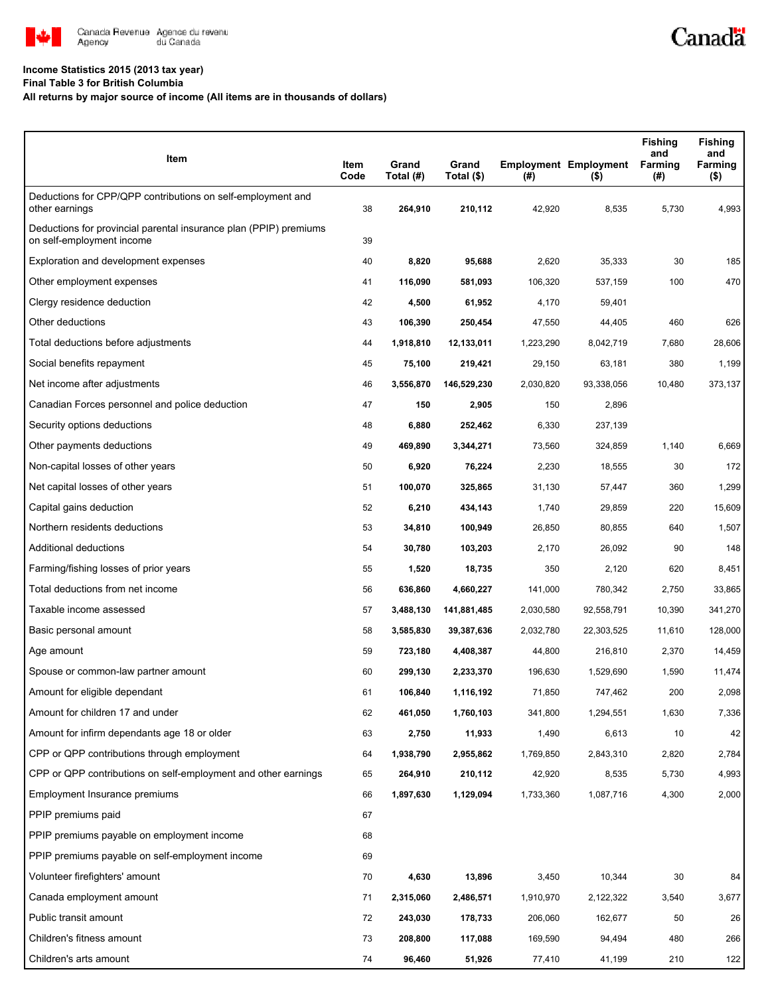

## **Income Statistics 2015 (2013 tax year)**

**Final Table 3 for British Columbia**

## **All returns by major source of income (All items are in thousands of dollars)**

| Item                                                                                           | Item<br>Code | Grand<br>Total (#) | Grand<br>Total (\$) | (#)       | <b>Employment Employment</b><br>$($ \$) | <b>Fishing</b><br>and<br>Farming<br>(#) | <b>Fishing</b><br>and<br>Farming<br>$($ \$) |
|------------------------------------------------------------------------------------------------|--------------|--------------------|---------------------|-----------|-----------------------------------------|-----------------------------------------|---------------------------------------------|
| Deductions for CPP/QPP contributions on self-employment and<br>other earnings                  | 38           | 264,910            | 210,112             | 42,920    | 8,535                                   | 5,730                                   | 4,993                                       |
| Deductions for provincial parental insurance plan (PPIP) premiums<br>on self-employment income | 39           |                    |                     |           |                                         |                                         |                                             |
| Exploration and development expenses                                                           | 40           | 8,820              | 95,688              | 2,620     | 35,333                                  | 30                                      | 185                                         |
| Other employment expenses                                                                      | 41           | 116,090            | 581,093             | 106,320   | 537,159                                 | 100                                     | 470                                         |
| Clergy residence deduction                                                                     | 42           | 4,500              | 61,952              | 4,170     | 59,401                                  |                                         |                                             |
| Other deductions                                                                               | 43           | 106,390            | 250,454             | 47,550    | 44,405                                  | 460                                     | 626                                         |
| Total deductions before adjustments                                                            | 44           | 1,918,810          | 12,133,011          | 1,223,290 | 8,042,719                               | 7,680                                   | 28,606                                      |
| Social benefits repayment                                                                      | 45           | 75,100             | 219,421             | 29,150    | 63,181                                  | 380                                     | 1,199                                       |
| Net income after adjustments                                                                   | 46           | 3,556,870          | 146,529,230         | 2,030,820 | 93,338,056                              | 10,480                                  | 373,137                                     |
| Canadian Forces personnel and police deduction                                                 | 47           | 150                | 2,905               | 150       | 2,896                                   |                                         |                                             |
| Security options deductions                                                                    | 48           | 6,880              | 252,462             | 6,330     | 237,139                                 |                                         |                                             |
| Other payments deductions                                                                      | 49           | 469,890            | 3,344,271           | 73,560    | 324,859                                 | 1,140                                   | 6,669                                       |
| Non-capital losses of other years                                                              | 50           | 6,920              | 76,224              | 2,230     | 18,555                                  | 30                                      | 172                                         |
| Net capital losses of other years                                                              | 51           | 100,070            | 325,865             | 31,130    | 57,447                                  | 360                                     | 1,299                                       |
| Capital gains deduction                                                                        | 52           | 6,210              | 434,143             | 1,740     | 29,859                                  | 220                                     | 15,609                                      |
| Northern residents deductions                                                                  | 53           | 34,810             | 100,949             | 26,850    | 80,855                                  | 640                                     | 1,507                                       |
| Additional deductions                                                                          | 54           | 30,780             | 103,203             | 2,170     | 26,092                                  | 90                                      | 148                                         |
| Farming/fishing losses of prior years                                                          | 55           | 1,520              | 18,735              | 350       | 2,120                                   | 620                                     | 8,451                                       |
| Total deductions from net income                                                               | 56           | 636,860            | 4,660,227           | 141,000   | 780,342                                 | 2,750                                   | 33,865                                      |
| Taxable income assessed                                                                        | 57           | 3,488,130          | 141,881,485         | 2,030,580 | 92,558,791                              | 10,390                                  | 341,270                                     |
| Basic personal amount                                                                          | 58           | 3,585,830          | 39,387,636          | 2,032,780 | 22,303,525                              | 11,610                                  | 128,000                                     |
| Age amount                                                                                     | 59           | 723,180            | 4,408,387           | 44,800    | 216,810                                 | 2,370                                   | 14,459                                      |
| Spouse or common-law partner amount                                                            | 60           | 299,130            | 2,233,370           | 196,630   | 1,529,690                               | 1,590                                   | 11,474                                      |
| Amount for eligible dependant                                                                  | 61           | 106,840            | 1,116,192           | 71,850    | 747.462                                 | 200                                     | 2,098                                       |
| Amount for children 17 and under                                                               | 62           | 461,050            | 1,760,103           | 341,800   | 1,294,551                               | 1,630                                   | 7,336                                       |
| Amount for infirm dependants age 18 or older                                                   | 63           | 2,750              | 11,933              | 1,490     | 6,613                                   | 10                                      | 42                                          |
| CPP or QPP contributions through employment                                                    | 64           | 1,938,790          | 2,955,862           | 1,769,850 | 2,843,310                               | 2,820                                   | 2,784                                       |
| CPP or QPP contributions on self-employment and other earnings                                 | 65           | 264,910            | 210,112             | 42,920    | 8,535                                   | 5,730                                   | 4,993                                       |
| Employment Insurance premiums                                                                  | 66           | 1,897,630          | 1,129,094           | 1,733,360 | 1,087,716                               | 4,300                                   | 2,000                                       |
| PPIP premiums paid                                                                             | 67           |                    |                     |           |                                         |                                         |                                             |
| PPIP premiums payable on employment income                                                     | 68           |                    |                     |           |                                         |                                         |                                             |
| PPIP premiums payable on self-employment income                                                | 69           |                    |                     |           |                                         |                                         |                                             |
| Volunteer firefighters' amount                                                                 | 70           | 4,630              | 13,896              | 3,450     | 10,344                                  | $30\,$                                  | 84                                          |
| Canada employment amount                                                                       | 71           | 2,315,060          | 2,486,571           | 1,910,970 | 2,122,322                               | 3,540                                   | 3,677                                       |
| Public transit amount                                                                          | 72           | 243,030            | 178,733             | 206,060   | 162,677                                 | 50                                      | 26                                          |
| Children's fitness amount                                                                      | 73           | 208,800            | 117,088             | 169,590   | 94,494                                  | 480                                     | 266                                         |
| Children's arts amount                                                                         | 74           | 96,460             | 51,926              | 77,410    | 41,199                                  | 210                                     | 122                                         |

Canadä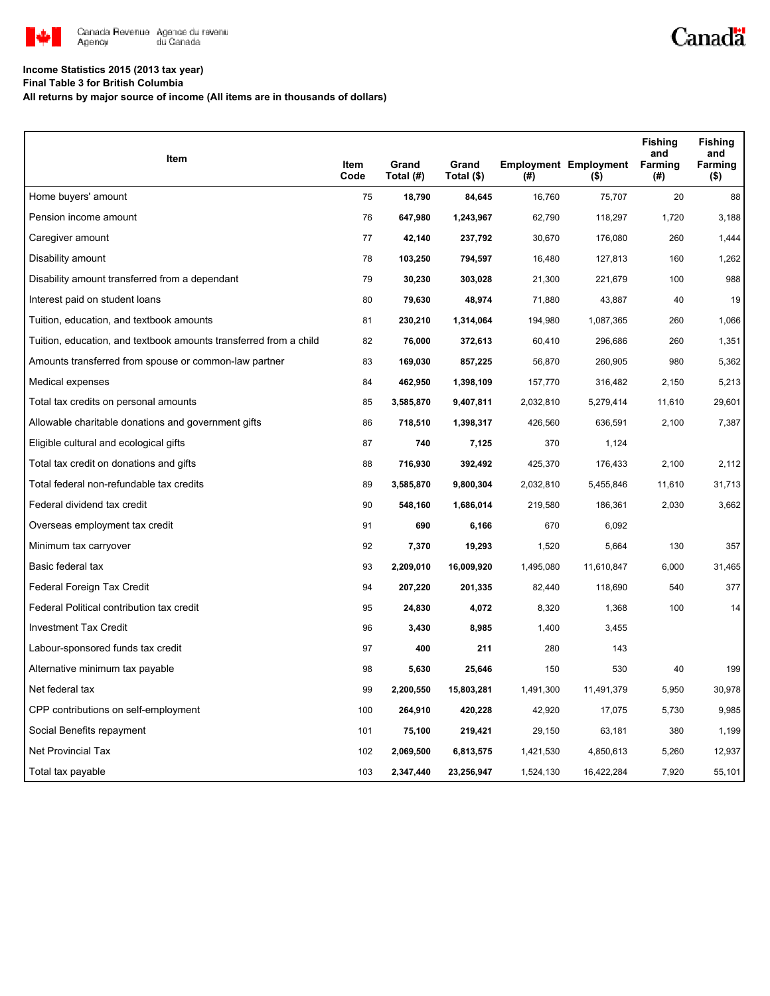

## **Income Statistics 2015 (2013 tax year)**

**Final Table 3 for British Columbia**

**All returns by major source of income (All items are in thousands of dollars)**

| Item                                                              |              |                    |                     |           |                                         | <b>Fishing</b><br>and | <b>Fishing</b><br>and |
|-------------------------------------------------------------------|--------------|--------------------|---------------------|-----------|-----------------------------------------|-----------------------|-----------------------|
|                                                                   | Item<br>Code | Grand<br>Total (#) | Grand<br>Total (\$) | (#)       | <b>Employment Employment</b><br>$($ \$) | Farming<br>(#)        | Farming<br>$($ \$)    |
| Home buyers' amount                                               | 75           | 18,790             | 84,645              | 16,760    | 75,707                                  | 20                    | 88                    |
| Pension income amount                                             | 76           | 647,980            | 1,243,967           | 62,790    | 118,297                                 | 1,720                 | 3,188                 |
| Caregiver amount                                                  | 77           | 42,140             | 237,792             | 30,670    | 176,080                                 | 260                   | 1,444                 |
| Disability amount                                                 | 78           | 103,250            | 794,597             | 16,480    | 127,813                                 | 160                   | 1,262                 |
| Disability amount transferred from a dependant                    | 79           | 30,230             | 303,028             | 21,300    | 221,679                                 | 100                   | 988                   |
| Interest paid on student loans                                    | 80           | 79,630             | 48,974              | 71,880    | 43,887                                  | 40                    | 19                    |
| Tuition, education, and textbook amounts                          | 81           | 230,210            | 1,314,064           | 194,980   | 1,087,365                               | 260                   | 1,066                 |
| Tuition, education, and textbook amounts transferred from a child | 82           | 76,000             | 372,613             | 60,410    | 296,686                                 | 260                   | 1,351                 |
| Amounts transferred from spouse or common-law partner             | 83           | 169,030            | 857,225             | 56,870    | 260,905                                 | 980                   | 5,362                 |
| Medical expenses                                                  | 84           | 462,950            | 1,398,109           | 157,770   | 316,482                                 | 2,150                 | 5,213                 |
| Total tax credits on personal amounts                             | 85           | 3,585,870          | 9,407,811           | 2,032,810 | 5,279,414                               | 11,610                | 29,601                |
| Allowable charitable donations and government gifts               | 86           | 718,510            | 1,398,317           | 426,560   | 636,591                                 | 2,100                 | 7,387                 |
| Eligible cultural and ecological gifts                            | 87           | 740                | 7,125               | 370       | 1,124                                   |                       |                       |
| Total tax credit on donations and gifts                           | 88           | 716,930            | 392,492             | 425,370   | 176,433                                 | 2,100                 | 2,112                 |
| Total federal non-refundable tax credits                          | 89           | 3,585,870          | 9,800,304           | 2,032,810 | 5,455,846                               | 11,610                | 31,713                |
| Federal dividend tax credit                                       | 90           | 548,160            | 1,686,014           | 219,580   | 186,361                                 | 2,030                 | 3,662                 |
| Overseas employment tax credit                                    | 91           | 690                | 6,166               | 670       | 6,092                                   |                       |                       |
| Minimum tax carryover                                             | 92           | 7,370              | 19,293              | 1,520     | 5,664                                   | 130                   | 357                   |
| Basic federal tax                                                 | 93           | 2,209,010          | 16,009,920          | 1,495,080 | 11,610,847                              | 6,000                 | 31,465                |
| Federal Foreign Tax Credit                                        | 94           | 207,220            | 201,335             | 82,440    | 118,690                                 | 540                   | 377                   |
| Federal Political contribution tax credit                         | 95           | 24,830             | 4,072               | 8,320     | 1,368                                   | 100                   | 14                    |
| <b>Investment Tax Credit</b>                                      | 96           | 3,430              | 8,985               | 1,400     | 3,455                                   |                       |                       |
| Labour-sponsored funds tax credit                                 | 97           | 400                | 211                 | 280       | 143                                     |                       |                       |
| Alternative minimum tax payable                                   | 98           | 5,630              | 25,646              | 150       | 530                                     | 40                    | 199                   |
| Net federal tax                                                   | 99           | 2,200,550          | 15,803,281          | 1,491,300 | 11,491,379                              | 5,950                 | 30,978                |
| CPP contributions on self-employment                              | 100          | 264,910            | 420,228             | 42,920    | 17,075                                  | 5,730                 | 9,985                 |
| Social Benefits repayment                                         | 101          | 75,100             | 219,421             | 29,150    | 63,181                                  | 380                   | 1,199                 |
| <b>Net Provincial Tax</b>                                         | 102          | 2,069,500          | 6,813,575           | 1,421,530 | 4,850,613                               | 5,260                 | 12,937                |
| Total tax payable                                                 | 103          | 2,347,440          | 23,256,947          | 1,524,130 | 16,422,284                              | 7,920                 | 55,101                |

Canadä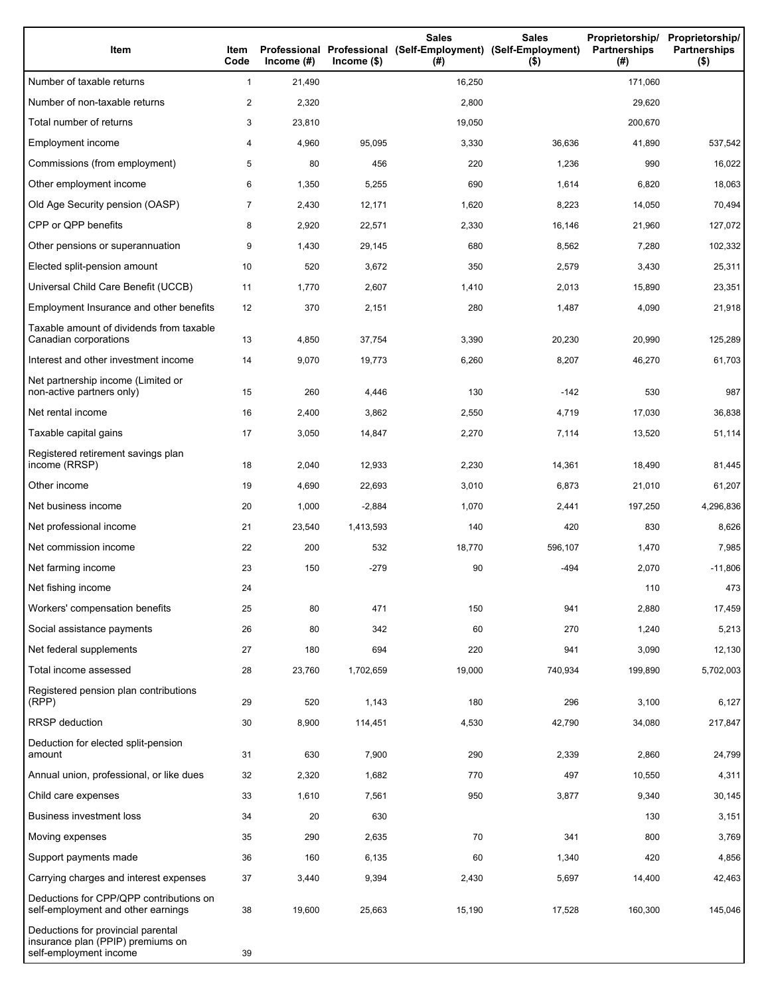| Item                                                                                              | Item<br>Code   | Income $(#)$ | $Income$ (\$) | <b>Sales</b><br>Professional Professional (Self-Employment) (Self-Employment)<br>(#) | <b>Sales</b><br>$($ \$) | Proprietorship/<br><b>Partnerships</b><br>(#) | Proprietorship/<br><b>Partnerships</b><br>$($ \$) |
|---------------------------------------------------------------------------------------------------|----------------|--------------|---------------|--------------------------------------------------------------------------------------|-------------------------|-----------------------------------------------|---------------------------------------------------|
| Number of taxable returns                                                                         | $\mathbf{1}$   | 21,490       |               | 16,250                                                                               |                         | 171,060                                       |                                                   |
| Number of non-taxable returns                                                                     | $\overline{c}$ | 2,320        |               | 2,800                                                                                |                         | 29,620                                        |                                                   |
| Total number of returns                                                                           | 3              | 23,810       |               | 19,050                                                                               |                         | 200,670                                       |                                                   |
| Employment income                                                                                 | 4              | 4,960        | 95,095        | 3,330                                                                                | 36,636                  | 41,890                                        | 537,542                                           |
| Commissions (from employment)                                                                     | 5              | 80           | 456           | 220                                                                                  | 1,236                   | 990                                           | 16,022                                            |
| Other employment income                                                                           | 6              | 1,350        | 5,255         | 690                                                                                  | 1,614                   | 6,820                                         | 18,063                                            |
| Old Age Security pension (OASP)                                                                   | $\overline{7}$ | 2,430        | 12,171        | 1,620                                                                                | 8,223                   | 14,050                                        | 70,494                                            |
| CPP or QPP benefits                                                                               | 8              | 2,920        | 22,571        | 2,330                                                                                | 16,146                  | 21,960                                        | 127,072                                           |
| Other pensions or superannuation                                                                  | 9              | 1,430        | 29,145        | 680                                                                                  | 8,562                   | 7,280                                         | 102,332                                           |
| Elected split-pension amount                                                                      | 10             | 520          | 3,672         | 350                                                                                  | 2,579                   | 3,430                                         | 25,311                                            |
| Universal Child Care Benefit (UCCB)                                                               | 11             | 1,770        | 2,607         | 1,410                                                                                | 2,013                   | 15,890                                        | 23,351                                            |
| Employment Insurance and other benefits                                                           | 12             | 370          | 2,151         | 280                                                                                  | 1,487                   | 4,090                                         | 21,918                                            |
| Taxable amount of dividends from taxable<br>Canadian corporations                                 | 13             | 4,850        | 37,754        | 3,390                                                                                | 20,230                  | 20,990                                        | 125,289                                           |
| Interest and other investment income                                                              | 14             | 9,070        | 19,773        | 6,260                                                                                | 8,207                   | 46,270                                        | 61,703                                            |
| Net partnership income (Limited or<br>non-active partners only)                                   | 15             | 260          | 4,446         | 130                                                                                  | $-142$                  | 530                                           | 987                                               |
| Net rental income                                                                                 | 16             | 2,400        | 3,862         | 2,550                                                                                | 4,719                   | 17,030                                        | 36,838                                            |
| Taxable capital gains                                                                             | 17             | 3,050        | 14,847        | 2,270                                                                                | 7,114                   | 13,520                                        | 51,114                                            |
| Registered retirement savings plan<br>income (RRSP)                                               | 18             | 2,040        | 12,933        | 2,230                                                                                | 14,361                  | 18,490                                        | 81,445                                            |
| Other income                                                                                      | 19             | 4,690        | 22,693        | 3,010                                                                                | 6,873                   | 21,010                                        | 61,207                                            |
| Net business income                                                                               | 20             | 1,000        | $-2,884$      | 1,070                                                                                | 2,441                   | 197,250                                       | 4,296,836                                         |
| Net professional income                                                                           | 21             | 23,540       | 1,413,593     | 140                                                                                  | 420                     | 830                                           | 8,626                                             |
| Net commission income                                                                             | 22             | 200          | 532           | 18,770                                                                               | 596,107                 | 1,470                                         | 7,985                                             |
| Net farming income                                                                                | 23             | 150          | $-279$        | 90                                                                                   | $-494$                  | 2,070                                         | $-11,806$                                         |
| Net fishing income                                                                                | 24             |              |               |                                                                                      |                         | 110                                           | 473                                               |
| Workers' compensation benefits                                                                    | 25             | 80           | 471           | 150                                                                                  | 941                     | 2,880                                         | 17,459                                            |
| Social assistance payments                                                                        | 26             | 80           | 342           | 60                                                                                   | 270                     | 1,240                                         | 5,213                                             |
| Net federal supplements                                                                           | 27             | 180          | 694           | 220                                                                                  | 941                     | 3,090                                         | 12,130                                            |
| Total income assessed                                                                             | 28             | 23,760       | 1,702,659     | 19,000                                                                               | 740,934                 | 199,890                                       | 5,702,003                                         |
| Registered pension plan contributions<br>(RPP)                                                    | 29             | 520          | 1,143         | 180                                                                                  | 296                     | 3,100                                         | 6,127                                             |
| RRSP deduction                                                                                    | 30             | 8,900        | 114,451       | 4,530                                                                                | 42,790                  | 34,080                                        | 217,847                                           |
| Deduction for elected split-pension<br>amount                                                     | 31             | 630          | 7,900         | 290                                                                                  | 2,339                   | 2,860                                         | 24,799                                            |
| Annual union, professional, or like dues                                                          | 32             | 2,320        | 1,682         | 770                                                                                  | 497                     | 10,550                                        | 4,311                                             |
| Child care expenses                                                                               | 33             | 1,610        | 7,561         | 950                                                                                  | 3,877                   | 9,340                                         | 30,145                                            |
| <b>Business investment loss</b>                                                                   | 34             | 20           | 630           |                                                                                      |                         | 130                                           | 3,151                                             |
| Moving expenses                                                                                   | 35             | 290          | 2,635         | 70                                                                                   | 341                     | 800                                           | 3,769                                             |
| Support payments made                                                                             | 36             | 160          | 6,135         | 60                                                                                   | 1,340                   | 420                                           | 4,856                                             |
| Carrying charges and interest expenses                                                            | 37             | 3,440        | 9,394         | 2,430                                                                                | 5,697                   | 14,400                                        | 42,463                                            |
| Deductions for CPP/QPP contributions on<br>self-employment and other earnings                     | 38             | 19,600       | 25,663        | 15,190                                                                               | 17,528                  | 160,300                                       | 145,046                                           |
| Deductions for provincial parental<br>insurance plan (PPIP) premiums on<br>self-employment income | 39             |              |               |                                                                                      |                         |                                               |                                                   |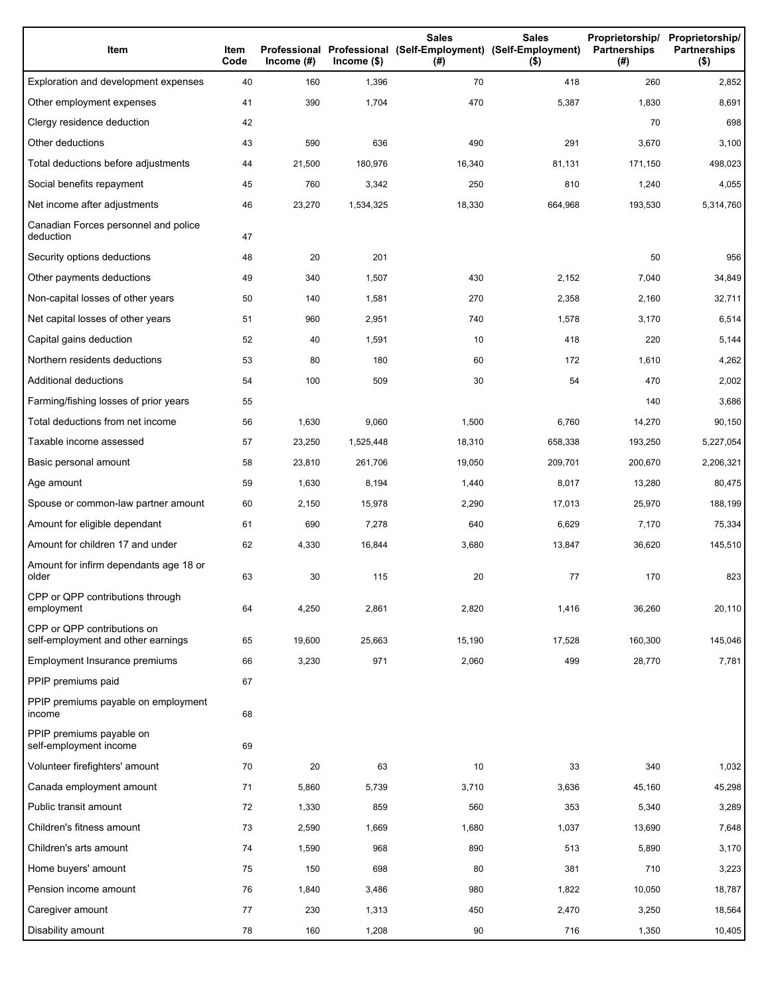| Item                                                              | Item<br>Code | Income $(\#)$ | $lncome$ (\$) | <b>Sales</b><br>Professional Professional (Self-Employment) (Self-Employment)<br>(#) | <b>Sales</b><br>$($ \$) | <b>Partnerships</b><br>(#) | Proprietorship/ Proprietorship/<br><b>Partnerships</b><br>$($ \$) |
|-------------------------------------------------------------------|--------------|---------------|---------------|--------------------------------------------------------------------------------------|-------------------------|----------------------------|-------------------------------------------------------------------|
| Exploration and development expenses                              | 40           | 160           | 1,396         | 70                                                                                   | 418                     | 260                        | 2,852                                                             |
| Other employment expenses                                         | 41           | 390           | 1,704         | 470                                                                                  | 5,387                   | 1,830                      | 8,691                                                             |
| Clergy residence deduction                                        | 42           |               |               |                                                                                      |                         | 70                         | 698                                                               |
| Other deductions                                                  | 43           | 590           | 636           | 490                                                                                  | 291                     | 3,670                      | 3,100                                                             |
| Total deductions before adjustments                               | 44           | 21,500        | 180,976       | 16,340                                                                               | 81,131                  | 171,150                    | 498,023                                                           |
| Social benefits repayment                                         | 45           | 760           | 3,342         | 250                                                                                  | 810                     | 1,240                      | 4,055                                                             |
| Net income after adjustments                                      | 46           | 23,270        | 1,534,325     | 18,330                                                                               | 664,968                 | 193,530                    | 5,314,760                                                         |
| Canadian Forces personnel and police<br>deduction                 | 47           |               |               |                                                                                      |                         |                            |                                                                   |
| Security options deductions                                       | 48           | 20            | 201           |                                                                                      |                         | 50                         | 956                                                               |
| Other payments deductions                                         | 49           | 340           | 1,507         | 430                                                                                  | 2,152                   | 7,040                      | 34,849                                                            |
| Non-capital losses of other years                                 | 50           | 140           | 1,581         | 270                                                                                  | 2,358                   | 2,160                      | 32,711                                                            |
| Net capital losses of other years                                 | 51           | 960           | 2,951         | 740                                                                                  | 1,578                   | 3,170                      | 6,514                                                             |
| Capital gains deduction                                           | 52           | 40            | 1,591         | 10                                                                                   | 418                     | 220                        | 5,144                                                             |
| Northern residents deductions                                     | 53           | 80            | 180           | 60                                                                                   | 172                     | 1,610                      | 4,262                                                             |
| Additional deductions                                             | 54           | 100           | 509           | 30                                                                                   | 54                      | 470                        | 2,002                                                             |
| Farming/fishing losses of prior years                             | 55           |               |               |                                                                                      |                         | 140                        | 3,686                                                             |
| Total deductions from net income                                  | 56           | 1,630         | 9,060         | 1,500                                                                                | 6,760                   | 14,270                     | 90,150                                                            |
| Taxable income assessed                                           | 57           | 23,250        | 1,525,448     | 18,310                                                                               | 658,338                 | 193,250                    | 5,227,054                                                         |
| Basic personal amount                                             | 58           | 23,810        | 261,706       | 19,050                                                                               | 209,701                 | 200,670                    | 2,206,321                                                         |
| Age amount                                                        | 59           | 1,630         | 8,194         | 1,440                                                                                | 8,017                   | 13,280                     | 80,475                                                            |
| Spouse or common-law partner amount                               | 60           | 2,150         | 15,978        | 2,290                                                                                | 17,013                  | 25,970                     | 188,199                                                           |
| Amount for eligible dependant                                     | 61           | 690           | 7,278         | 640                                                                                  | 6,629                   | 7,170                      | 75,334                                                            |
| Amount for children 17 and under                                  | 62           | 4,330         | 16,844        | 3,680                                                                                | 13,847                  | 36,620                     | 145,510                                                           |
| Amount for infirm dependants age 18 or<br>older                   | 63           | 30            | 115           | 20                                                                                   | 77                      | 170                        | 823                                                               |
| CPP or QPP contributions through<br>employment                    | 64           | 4,250         | 2,861         | 2,820                                                                                | 1,416                   | 36,260                     | 20,110                                                            |
| CPP or QPP contributions on<br>self-employment and other earnings | 65           | 19,600        | 25,663        | 15,190                                                                               | 17,528                  | 160,300                    | 145,046                                                           |
| Employment Insurance premiums                                     | 66           | 3,230         | 971           | 2,060                                                                                | 499                     | 28,770                     | 7,781                                                             |
| PPIP premiums paid                                                | 67           |               |               |                                                                                      |                         |                            |                                                                   |
| PPIP premiums payable on employment<br>income                     | 68           |               |               |                                                                                      |                         |                            |                                                                   |
| PPIP premiums payable on<br>self-employment income                | 69           |               |               |                                                                                      |                         |                            |                                                                   |
| Volunteer firefighters' amount                                    | 70           | 20            | 63            | 10                                                                                   | 33                      | 340                        | 1,032                                                             |
| Canada employment amount                                          | 71           | 5,860         | 5,739         | 3,710                                                                                | 3,636                   | 45,160                     | 45,298                                                            |
| Public transit amount                                             | 72           | 1,330         | 859           | 560                                                                                  | 353                     | 5,340                      | 3,289                                                             |
| Children's fitness amount                                         | 73           | 2,590         | 1,669         | 1,680                                                                                | 1,037                   | 13,690                     | 7,648                                                             |
| Children's arts amount                                            | 74           | 1,590         | 968           | 890                                                                                  | 513                     | 5,890                      | 3,170                                                             |
| Home buyers' amount                                               | 75           | 150           | 698           | 80                                                                                   | 381                     | 710                        | 3,223                                                             |
| Pension income amount                                             | 76           | 1,840         | 3,486         | 980                                                                                  | 1,822                   | 10,050                     | 18,787                                                            |
| Caregiver amount                                                  | 77           | 230           | 1,313         | 450                                                                                  | 2,470                   | 3,250                      | 18,564                                                            |
| Disability amount                                                 | 78           | 160           | 1,208         | 90                                                                                   | 716                     | 1,350                      | 10,405                                                            |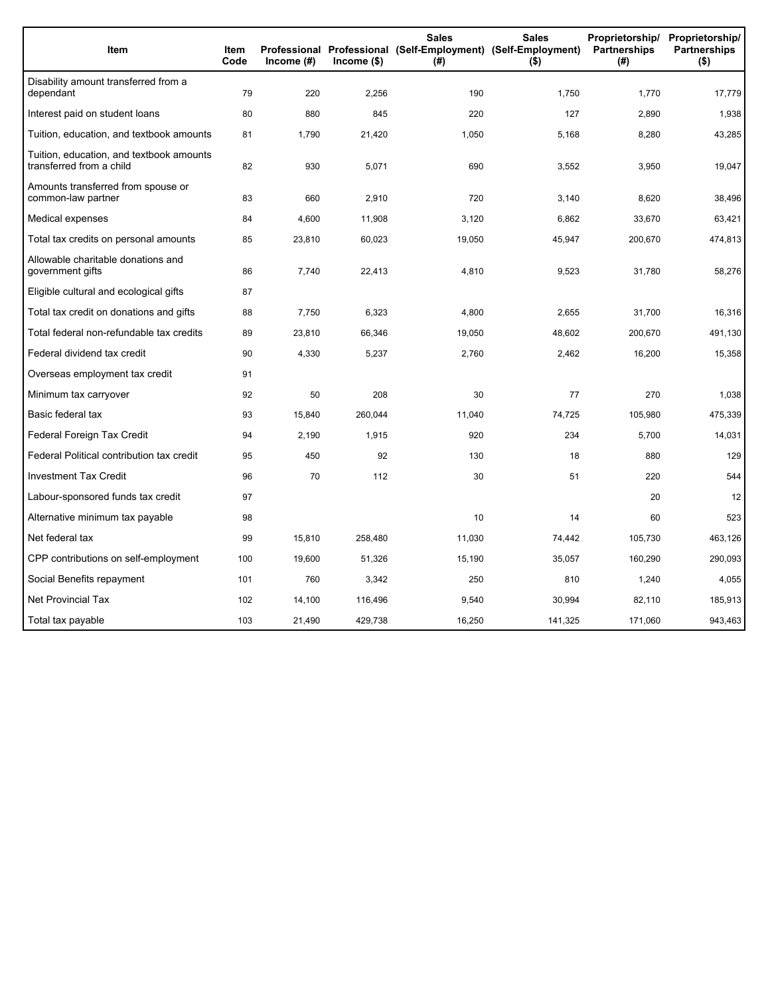| Item                                                                 | Item<br>Code | Income (#) | Income (\$) | <b>Sales</b><br>(#) | <b>Sales</b><br>Proprietorship/<br>Professional Professional (Self-Employment) (Self-Employment)<br>Partnerships<br>$($ \$) |         | Proprietorship/<br><b>Partnerships</b><br>$($ \$) |
|----------------------------------------------------------------------|--------------|------------|-------------|---------------------|-----------------------------------------------------------------------------------------------------------------------------|---------|---------------------------------------------------|
| Disability amount transferred from a<br>dependant                    | 79           | 220        | 2,256       | 190                 | 1,750                                                                                                                       | 1,770   | 17,779                                            |
| Interest paid on student loans                                       | 80           | 880        | 845         | 220                 | 127                                                                                                                         | 2,890   | 1,938                                             |
| Tuition, education, and textbook amounts                             | 81           | 1,790      | 21,420      | 1,050               | 5,168                                                                                                                       | 8,280   | 43,285                                            |
| Tuition, education, and textbook amounts<br>transferred from a child | 82           | 930        | 5,071       | 690                 | 3,552                                                                                                                       | 3,950   | 19,047                                            |
| Amounts transferred from spouse or<br>common-law partner             | 83           | 660        | 2,910       | 720                 | 3,140                                                                                                                       | 8,620   | 38,496                                            |
| Medical expenses                                                     | 84           | 4,600      | 11,908      | 3,120               | 6,862                                                                                                                       | 33,670  | 63,421                                            |
| Total tax credits on personal amounts                                | 85           | 23,810     | 60,023      | 19,050              | 45,947                                                                                                                      | 200,670 | 474,813                                           |
| Allowable charitable donations and<br>government gifts               | 86           | 7,740      | 22,413      | 4,810               | 9,523                                                                                                                       | 31,780  | 58,276                                            |
| Eligible cultural and ecological gifts                               | 87           |            |             |                     |                                                                                                                             |         |                                                   |
| Total tax credit on donations and gifts                              | 88           | 7,750      | 6,323       | 4,800               | 2,655                                                                                                                       | 31,700  | 16,316                                            |
| Total federal non-refundable tax credits                             | 89           | 23,810     | 66,346      | 19,050              | 48,602                                                                                                                      | 200,670 | 491,130                                           |
| Federal dividend tax credit                                          | 90           | 4,330      | 5,237       | 2,760               | 2,462                                                                                                                       | 16,200  | 15,358                                            |
| Overseas employment tax credit                                       | 91           |            |             |                     |                                                                                                                             |         |                                                   |
| Minimum tax carryover                                                | 92           | 50         | 208         | 30                  | 77                                                                                                                          | 270     | 1,038                                             |
| Basic federal tax                                                    | 93           | 15,840     | 260,044     | 11,040              | 74,725                                                                                                                      | 105,980 | 475,339                                           |
| Federal Foreign Tax Credit                                           | 94           | 2,190      | 1,915       | 920                 | 234                                                                                                                         | 5,700   | 14,031                                            |
| Federal Political contribution tax credit                            | 95           | 450        | 92          | 130                 | 18                                                                                                                          | 880     | 129                                               |
| <b>Investment Tax Credit</b>                                         | 96           | 70         | 112         | 30                  | 51                                                                                                                          | 220     | 544                                               |
| Labour-sponsored funds tax credit                                    | 97           |            |             |                     |                                                                                                                             | 20      | 12                                                |
| Alternative minimum tax payable                                      | 98           |            |             | 10                  | 14                                                                                                                          | 60      | 523                                               |
| Net federal tax                                                      | 99           | 15.810     | 258,480     | 11,030              | 74,442                                                                                                                      | 105,730 | 463,126                                           |
| CPP contributions on self-employment                                 | 100          | 19,600     | 51,326      | 15,190              | 35,057                                                                                                                      | 160,290 | 290,093                                           |
| Social Benefits repayment                                            | 101          | 760        | 3,342       | 250                 | 810                                                                                                                         | 1,240   | 4,055                                             |
| <b>Net Provincial Tax</b>                                            | 102          | 14,100     | 116,496     | 9,540               | 30,994                                                                                                                      | 82,110  | 185,913                                           |
| Total tax payable                                                    | 103          | 21,490     | 429,738     | 16,250              | 141,325                                                                                                                     | 171,060 | 943,463                                           |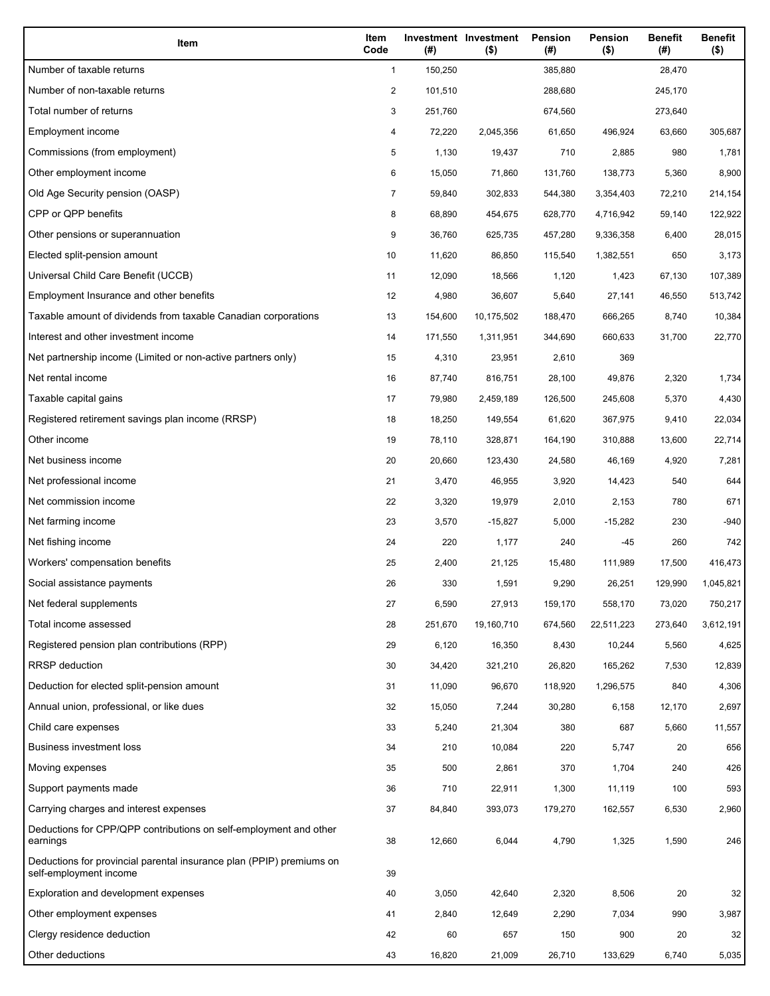| Item                                                                                           | Item<br>Code | (#)     | Investment Investment<br>$($ \$) | Pension<br>(#) | Pension<br>$($ \$) | <b>Benefit</b><br>(#) | <b>Benefit</b><br>$($ \$) |
|------------------------------------------------------------------------------------------------|--------------|---------|----------------------------------|----------------|--------------------|-----------------------|---------------------------|
| Number of taxable returns                                                                      | $\mathbf{1}$ | 150,250 |                                  | 385,880        |                    | 28,470                |                           |
| Number of non-taxable returns                                                                  | 2            | 101,510 |                                  | 288,680        |                    | 245,170               |                           |
| Total number of returns                                                                        | 3            | 251,760 |                                  | 674,560        |                    | 273,640               |                           |
| Employment income                                                                              | 4            | 72,220  | 2,045,356                        | 61,650         | 496,924            | 63,660                | 305,687                   |
| Commissions (from employment)                                                                  | 5            | 1,130   | 19,437                           | 710            | 2,885              | 980                   | 1,781                     |
| Other employment income                                                                        | 6            | 15,050  | 71,860                           | 131,760        | 138,773            | 5,360                 | 8,900                     |
| Old Age Security pension (OASP)                                                                | 7            | 59,840  | 302,833                          | 544,380        | 3,354,403          | 72,210                | 214,154                   |
| CPP or QPP benefits                                                                            | 8            | 68,890  | 454,675                          | 628,770        | 4,716,942          | 59,140                | 122,922                   |
| Other pensions or superannuation                                                               | 9            | 36,760  | 625,735                          | 457,280        | 9,336,358          | 6,400                 | 28,015                    |
| Elected split-pension amount                                                                   | 10           | 11,620  | 86,850                           | 115,540        | 1,382,551          | 650                   | 3,173                     |
| Universal Child Care Benefit (UCCB)                                                            | 11           | 12,090  | 18,566                           | 1,120          | 1,423              | 67,130                | 107,389                   |
| Employment Insurance and other benefits                                                        | 12           | 4,980   | 36,607                           | 5,640          | 27,141             | 46,550                | 513,742                   |
| Taxable amount of dividends from taxable Canadian corporations                                 | 13           | 154,600 | 10,175,502                       | 188,470        | 666,265            | 8,740                 | 10,384                    |
| Interest and other investment income                                                           | 14           | 171,550 | 1,311,951                        | 344,690        | 660,633            | 31,700                | 22,770                    |
| Net partnership income (Limited or non-active partners only)                                   | 15           | 4,310   | 23,951                           | 2,610          | 369                |                       |                           |
| Net rental income                                                                              | 16           | 87,740  | 816,751                          | 28.100         | 49,876             | 2,320                 | 1,734                     |
| Taxable capital gains                                                                          | 17           | 79,980  | 2,459,189                        | 126,500        | 245,608            | 5,370                 | 4,430                     |
| Registered retirement savings plan income (RRSP)                                               | 18           | 18,250  | 149,554                          | 61,620         | 367,975            | 9,410                 | 22,034                    |
| Other income                                                                                   | 19           | 78,110  | 328,871                          | 164,190        | 310,888            | 13,600                | 22,714                    |
| Net business income                                                                            | 20           | 20,660  | 123,430                          | 24,580         | 46,169             | 4,920                 | 7,281                     |
| Net professional income                                                                        | 21           | 3,470   | 46,955                           | 3,920          | 14,423             | 540                   | 644                       |
| Net commission income                                                                          | 22           | 3,320   | 19,979                           | 2,010          | 2,153              | 780                   | 671                       |
| Net farming income                                                                             | 23           | 3,570   | $-15,827$                        | 5,000          | $-15,282$          | 230                   | -940                      |
| Net fishing income                                                                             | 24           | 220     | 1,177                            | 240            | -45                | 260                   | 742                       |
| Workers' compensation benefits                                                                 | 25           | 2,400   | 21,125                           | 15,480         | 111,989            | 17,500                | 416,473                   |
| Social assistance payments                                                                     | 26           | 330     | 1,591                            | 9,290          | 26,251             | 129,990               | 1,045,821                 |
| Net federal supplements                                                                        | 27           | 6,590   | 27,913                           | 159,170        | 558,170            | 73,020                | 750,217                   |
| Total income assessed                                                                          | 28           | 251,670 | 19,160,710                       | 674,560        | 22,511,223         | 273,640               | 3,612,191                 |
| Registered pension plan contributions (RPP)                                                    | 29           | 6,120   | 16,350                           | 8,430          | 10,244             | 5,560                 | 4,625                     |
| <b>RRSP</b> deduction                                                                          | 30           | 34,420  | 321,210                          | 26,820         | 165,262            | 7,530                 | 12,839                    |
| Deduction for elected split-pension amount                                                     | 31           | 11,090  | 96,670                           | 118,920        | 1,296,575          | 840                   | 4,306                     |
| Annual union, professional, or like dues                                                       | 32           | 15,050  | 7,244                            | 30,280         | 6,158              | 12,170                | 2,697                     |
| Child care expenses                                                                            | 33           | 5,240   | 21,304                           | 380            | 687                | 5,660                 | 11,557                    |
| Business investment loss                                                                       | 34           | 210     | 10,084                           | 220            | 5,747              | 20                    | 656                       |
| Moving expenses                                                                                | 35           | 500     | 2,861                            | 370            | 1,704              | 240                   | 426                       |
| Support payments made                                                                          | 36           | 710     | 22,911                           | 1,300          | 11,119             | 100                   | 593                       |
| Carrying charges and interest expenses                                                         | 37           | 84,840  | 393,073                          | 179,270        | 162,557            | 6,530                 | 2,960                     |
| Deductions for CPP/QPP contributions on self-employment and other<br>earnings                  | 38           | 12,660  | 6,044                            | 4,790          | 1,325              | 1,590                 | 246                       |
| Deductions for provincial parental insurance plan (PPIP) premiums on<br>self-employment income | 39           |         |                                  |                |                    |                       |                           |
| Exploration and development expenses                                                           | 40           | 3,050   | 42,640                           | 2,320          | 8,506              | 20                    | 32                        |
| Other employment expenses                                                                      | 41           | 2,840   | 12,649                           | 2,290          | 7,034              | 990                   | 3,987                     |
| Clergy residence deduction                                                                     | 42           | 60      | 657                              | 150            | 900                | 20                    | 32                        |
| Other deductions                                                                               | 43           | 16,820  | 21,009                           | 26,710         | 133,629            | 6,740                 | 5,035                     |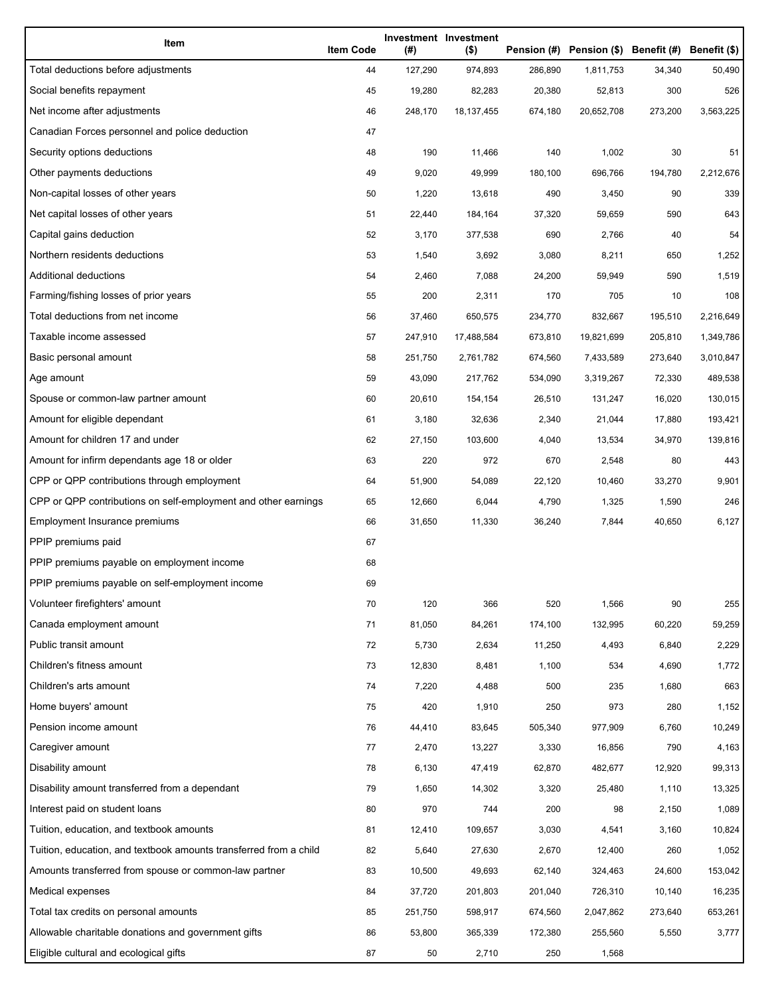| Item                                                              | <b>Item Code</b> | (#)     | Investment Investment<br>$($ \$) |         | Pension (#) Pension (\$) Benefit (#) Benefit (\$) |         |           |
|-------------------------------------------------------------------|------------------|---------|----------------------------------|---------|---------------------------------------------------|---------|-----------|
| Total deductions before adjustments                               | 44               | 127,290 | 974,893                          | 286,890 | 1,811,753                                         | 34,340  | 50,490    |
| Social benefits repayment                                         | 45               | 19,280  | 82,283                           | 20,380  | 52,813                                            | 300     | 526       |
| Net income after adjustments                                      | 46               | 248,170 | 18, 137, 455                     | 674,180 | 20,652,708                                        | 273,200 | 3,563,225 |
| Canadian Forces personnel and police deduction                    | 47               |         |                                  |         |                                                   |         |           |
| Security options deductions                                       | 48               | 190     | 11,466                           | 140     | 1,002                                             | 30      | 51        |
| Other payments deductions                                         | 49               | 9,020   | 49,999                           | 180,100 | 696,766                                           | 194,780 | 2,212,676 |
| Non-capital losses of other years                                 | 50               | 1,220   | 13,618                           | 490     | 3,450                                             | 90      | 339       |
| Net capital losses of other years                                 | 51               | 22,440  | 184,164                          | 37,320  | 59,659                                            | 590     | 643       |
| Capital gains deduction                                           | 52               | 3,170   | 377,538                          | 690     | 2,766                                             | 40      | 54        |
| Northern residents deductions                                     | 53               | 1,540   | 3,692                            | 3,080   | 8,211                                             | 650     | 1,252     |
| Additional deductions                                             | 54               | 2,460   | 7,088                            | 24,200  | 59,949                                            | 590     | 1,519     |
| Farming/fishing losses of prior years                             | 55               | 200     | 2,311                            | 170     | 705                                               | 10      | 108       |
| Total deductions from net income                                  | 56               | 37,460  | 650,575                          | 234,770 | 832,667                                           | 195,510 | 2,216,649 |
| Taxable income assessed                                           | 57               | 247,910 | 17,488,584                       | 673,810 | 19,821,699                                        | 205,810 | 1,349,786 |
| Basic personal amount                                             | 58               | 251,750 | 2,761,782                        | 674,560 | 7,433,589                                         | 273,640 | 3,010,847 |
| Age amount                                                        | 59               | 43,090  | 217,762                          | 534,090 | 3,319,267                                         | 72,330  | 489,538   |
| Spouse or common-law partner amount                               | 60               | 20,610  | 154,154                          | 26,510  | 131,247                                           | 16,020  | 130,015   |
| Amount for eligible dependant                                     | 61               | 3,180   | 32,636                           | 2,340   | 21,044                                            | 17,880  | 193,421   |
| Amount for children 17 and under                                  | 62               | 27,150  | 103,600                          | 4,040   | 13,534                                            | 34,970  | 139,816   |
| Amount for infirm dependants age 18 or older                      | 63               | 220     | 972                              | 670     | 2,548                                             | 80      | 443       |
| CPP or QPP contributions through employment                       | 64               | 51,900  | 54,089                           | 22,120  | 10,460                                            | 33,270  | 9,901     |
| CPP or QPP contributions on self-employment and other earnings    | 65               | 12,660  | 6,044                            | 4,790   | 1,325                                             | 1,590   | 246       |
| Employment Insurance premiums                                     | 66               | 31,650  | 11,330                           | 36,240  | 7,844                                             | 40,650  | 6,127     |
| PPIP premiums paid                                                | 67               |         |                                  |         |                                                   |         |           |
| PPIP premiums payable on employment income                        | 68               |         |                                  |         |                                                   |         |           |
| PPIP premiums payable on self-employment income                   | 69               |         |                                  |         |                                                   |         |           |
| Volunteer firefighters' amount                                    | 70               | 120     | 366                              | 520     | 1,566                                             | 90      | 255       |
| Canada employment amount                                          | 71               | 81,050  | 84,261                           | 174,100 | 132,995                                           | 60,220  | 59,259    |
| Public transit amount                                             | 72               | 5,730   | 2,634                            | 11,250  | 4,493                                             | 6,840   | 2,229     |
| Children's fitness amount                                         | 73               | 12,830  | 8,481                            | 1,100   | 534                                               | 4,690   | 1,772     |
| Children's arts amount                                            | 74               | 7,220   | 4,488                            | 500     | 235                                               | 1,680   | 663       |
| Home buyers' amount                                               | 75               | 420     | 1,910                            | 250     | 973                                               | 280     | 1,152     |
| Pension income amount                                             | 76               | 44,410  | 83,645                           | 505,340 | 977,909                                           | 6,760   | 10,249    |
| Caregiver amount                                                  | 77               | 2,470   | 13,227                           | 3,330   | 16,856                                            | 790     | 4,163     |
| Disability amount                                                 | 78               | 6,130   | 47,419                           | 62,870  | 482,677                                           | 12,920  | 99,313    |
| Disability amount transferred from a dependant                    | 79               | 1,650   | 14,302                           | 3,320   | 25,480                                            | 1,110   | 13,325    |
| Interest paid on student loans                                    | 80               | 970     | 744                              | 200     | 98                                                | 2,150   | 1,089     |
| Tuition, education, and textbook amounts                          | 81               | 12,410  | 109,657                          | 3,030   | 4,541                                             | 3,160   | 10,824    |
| Tuition, education, and textbook amounts transferred from a child | 82               | 5,640   | 27,630                           | 2,670   | 12,400                                            | 260     | 1,052     |
| Amounts transferred from spouse or common-law partner             | 83               | 10,500  | 49,693                           | 62,140  | 324,463                                           | 24,600  | 153,042   |
| Medical expenses                                                  | 84               | 37,720  | 201,803                          | 201,040 | 726,310                                           | 10,140  | 16,235    |
| Total tax credits on personal amounts                             | 85               | 251,750 | 598,917                          | 674,560 | 2,047,862                                         | 273,640 | 653,261   |
| Allowable charitable donations and government gifts               | 86               | 53,800  | 365,339                          | 172,380 | 255,560                                           | 5,550   | 3,777     |
| Eligible cultural and ecological gifts                            | 87               | 50      | 2,710                            | 250     | 1,568                                             |         |           |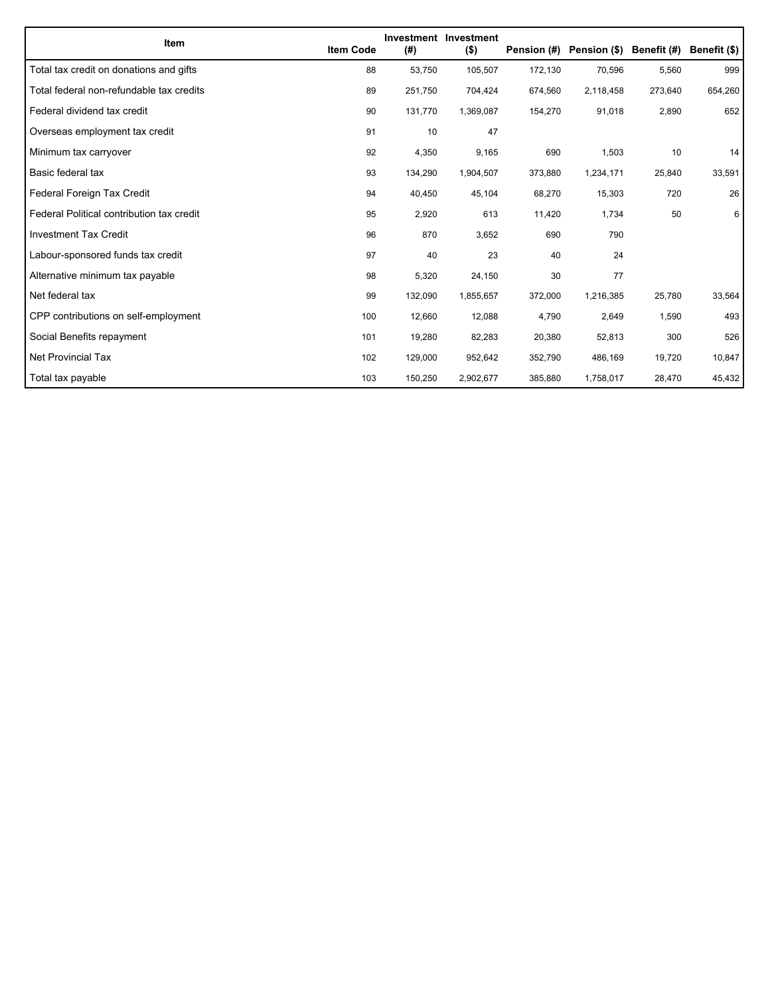| Item                                      | <b>Item Code</b> | (#)     | Investment Investment<br>$($ \$) | Pension (#) | Pension (\$) | Benefit (#) | Benefit (\$) |
|-------------------------------------------|------------------|---------|----------------------------------|-------------|--------------|-------------|--------------|
| Total tax credit on donations and gifts   | 88               | 53,750  | 105,507                          | 172,130     | 70,596       | 5,560       | 999          |
| Total federal non-refundable tax credits  | 89               | 251,750 | 704,424                          | 674,560     | 2,118,458    | 273,640     | 654,260      |
| Federal dividend tax credit               | 90               | 131,770 | 1,369,087                        | 154,270     | 91,018       | 2,890       | 652          |
| Overseas employment tax credit            | 91               | 10      | 47                               |             |              |             |              |
| Minimum tax carryover                     | 92               | 4,350   | 9,165                            | 690         | 1,503        | 10          | 14           |
| Basic federal tax                         | 93               | 134,290 | 1,904,507                        | 373,880     | 1,234,171    | 25,840      | 33,591       |
| Federal Foreign Tax Credit                | 94               | 40,450  | 45,104                           | 68,270      | 15,303       | 720         | 26           |
| Federal Political contribution tax credit | 95               | 2,920   | 613                              | 11,420      | 1,734        | 50          | 6            |
| <b>Investment Tax Credit</b>              | 96               | 870     | 3,652                            | 690         | 790          |             |              |
| Labour-sponsored funds tax credit         | 97               | 40      | 23                               | 40          | 24           |             |              |
| Alternative minimum tax payable           | 98               | 5,320   | 24,150                           | 30          | 77           |             |              |
| Net federal tax                           | 99               | 132,090 | 1,855,657                        | 372,000     | 1,216,385    | 25,780      | 33,564       |
| CPP contributions on self-employment      | 100              | 12,660  | 12,088                           | 4,790       | 2,649        | 1,590       | 493          |
| Social Benefits repayment                 | 101              | 19,280  | 82,283                           | 20,380      | 52,813       | 300         | 526          |
| Net Provincial Tax                        | 102              | 129,000 | 952,642                          | 352,790     | 486,169      | 19,720      | 10,847       |
| Total tax payable                         | 103              | 150,250 | 2,902,677                        | 385,880     | 1,758,017    | 28,470      | 45,432       |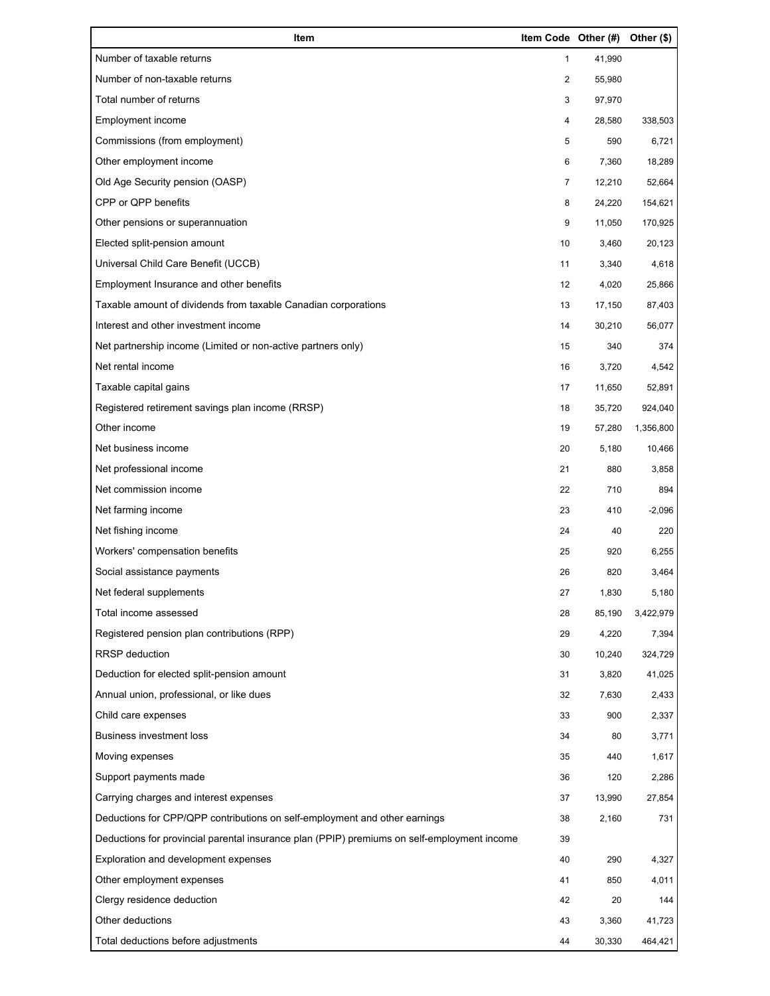| Item                                                                                        | Item Code Other (#) |        | Other (\$) |
|---------------------------------------------------------------------------------------------|---------------------|--------|------------|
| Number of taxable returns                                                                   | 1                   | 41,990 |            |
| Number of non-taxable returns                                                               | $\overline{2}$      | 55,980 |            |
| Total number of returns                                                                     | 3                   | 97,970 |            |
| Employment income                                                                           | 4                   | 28,580 | 338,503    |
| Commissions (from employment)                                                               | 5                   | 590    | 6,721      |
| Other employment income                                                                     | 6                   | 7,360  | 18,289     |
| Old Age Security pension (OASP)                                                             | 7                   | 12,210 | 52,664     |
| CPP or QPP benefits                                                                         | 8                   | 24,220 | 154,621    |
| Other pensions or superannuation                                                            | 9                   | 11,050 | 170,925    |
| Elected split-pension amount                                                                | 10                  | 3,460  | 20,123     |
| Universal Child Care Benefit (UCCB)                                                         | 11                  | 3,340  | 4,618      |
| Employment Insurance and other benefits                                                     | 12                  | 4,020  | 25,866     |
| Taxable amount of dividends from taxable Canadian corporations                              | 13                  | 17,150 | 87,403     |
| Interest and other investment income                                                        | 14                  | 30,210 | 56,077     |
| Net partnership income (Limited or non-active partners only)                                | 15                  | 340    | 374        |
| Net rental income                                                                           | 16                  | 3,720  | 4,542      |
| Taxable capital gains                                                                       | 17                  | 11,650 | 52,891     |
| Registered retirement savings plan income (RRSP)                                            | 18                  | 35,720 | 924,040    |
| Other income                                                                                | 19                  | 57,280 | 1,356,800  |
| Net business income                                                                         | 20                  | 5,180  | 10,466     |
| Net professional income                                                                     | 21                  | 880    | 3,858      |
| Net commission income                                                                       | 22                  | 710    | 894        |
| Net farming income                                                                          | 23                  | 410    | $-2,096$   |
| Net fishing income                                                                          | 24                  | 40     | 220        |
| Workers' compensation benefits                                                              | 25                  | 920    | 6,255      |
| Social assistance payments                                                                  | 26                  | 820    | 3,464      |
| Net federal supplements                                                                     | 27                  | 1,830  | 5,180      |
| Total income assessed                                                                       | 28                  | 85,190 | 3,422,979  |
| Registered pension plan contributions (RPP)                                                 | 29                  | 4,220  | 7,394      |
| <b>RRSP</b> deduction                                                                       | 30                  | 10,240 | 324,729    |
| Deduction for elected split-pension amount                                                  | 31                  | 3,820  | 41,025     |
| Annual union, professional, or like dues                                                    | 32                  | 7,630  | 2,433      |
| Child care expenses                                                                         | 33                  | 900    | 2,337      |
| <b>Business investment loss</b>                                                             | 34                  | 80     | 3,771      |
| Moving expenses                                                                             | 35                  | 440    | 1,617      |
| Support payments made                                                                       | 36                  | 120    | 2,286      |
| Carrying charges and interest expenses                                                      | 37                  | 13,990 | 27,854     |
| Deductions for CPP/QPP contributions on self-employment and other earnings                  | 38                  | 2,160  | 731        |
| Deductions for provincial parental insurance plan (PPIP) premiums on self-employment income | 39                  |        |            |
| Exploration and development expenses                                                        | 40                  | 290    | 4,327      |
| Other employment expenses                                                                   | 41                  | 850    | 4,011      |
| Clergy residence deduction                                                                  | 42                  | 20     | 144        |
| Other deductions                                                                            | 43                  | 3,360  | 41,723     |
| Total deductions before adjustments                                                         | 44                  | 30,330 | 464,421    |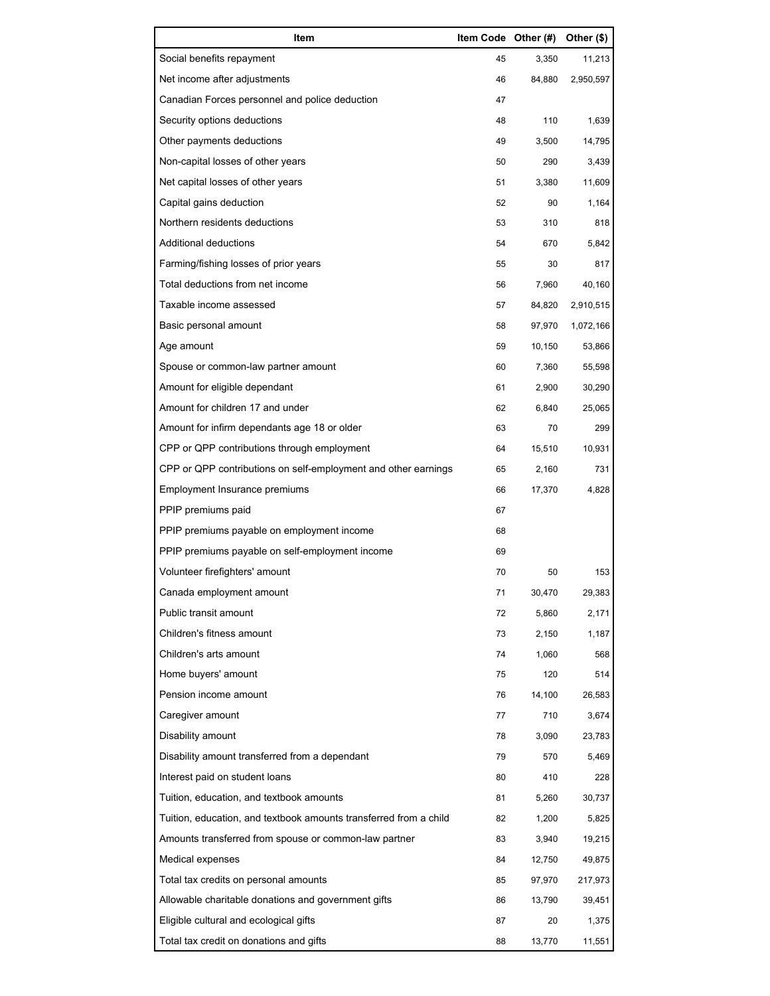| Item                                                              | Item Code Other (#) |        | Other (\$) |
|-------------------------------------------------------------------|---------------------|--------|------------|
| Social benefits repayment                                         | 45                  | 3,350  | 11,213     |
| Net income after adjustments                                      | 46                  | 84,880 | 2,950,597  |
| Canadian Forces personnel and police deduction                    | 47                  |        |            |
| Security options deductions                                       | 48                  | 110    | 1,639      |
| Other payments deductions                                         | 49                  | 3,500  | 14,795     |
| Non-capital losses of other years                                 | 50                  | 290    | 3,439      |
| Net capital losses of other years                                 | 51                  | 3,380  | 11,609     |
| Capital gains deduction                                           | 52                  | 90     | 1,164      |
| Northern residents deductions                                     | 53                  | 310    | 818        |
| Additional deductions                                             | 54                  | 670    | 5,842      |
| Farming/fishing losses of prior years                             | 55                  | 30     | 817        |
| Total deductions from net income                                  | 56                  | 7,960  | 40,160     |
| Taxable income assessed                                           | 57                  | 84,820 | 2,910,515  |
| Basic personal amount                                             | 58                  | 97,970 | 1,072,166  |
| Age amount                                                        | 59                  | 10,150 | 53,866     |
| Spouse or common-law partner amount                               | 60                  | 7,360  | 55,598     |
| Amount for eligible dependant                                     | 61                  | 2,900  | 30,290     |
| Amount for children 17 and under                                  | 62                  | 6,840  | 25,065     |
| Amount for infirm dependants age 18 or older                      | 63                  | 70     | 299        |
| CPP or QPP contributions through employment                       | 64                  | 15,510 | 10,931     |
| CPP or QPP contributions on self-employment and other earnings    | 65                  | 2,160  | 731        |
| Employment Insurance premiums                                     | 66                  | 17,370 | 4,828      |
| PPIP premiums paid                                                | 67                  |        |            |
| PPIP premiums payable on employment income                        | 68                  |        |            |
| PPIP premiums payable on self-employment income                   | 69                  |        |            |
| Volunteer firefighters' amount                                    | 70                  | 50     | 153        |
| Canada employment amount                                          | 71                  | 30,470 | 29,383     |
| Public transit amount                                             | 72                  | 5,860  | 2,171      |
| Children's fitness amount                                         | 73                  | 2,150  | 1,187      |
| Children's arts amount                                            | 74                  | 1,060  | 568        |
| Home buyers' amount                                               | 75                  | 120    | 514        |
| Pension income amount                                             | 76                  | 14,100 | 26,583     |
| Caregiver amount                                                  | 77                  | 710    | 3,674      |
| Disability amount                                                 | 78                  | 3,090  | 23,783     |
| Disability amount transferred from a dependant                    | 79                  | 570    | 5,469      |
| Interest paid on student loans                                    | 80                  | 410    | 228        |
| Tuition, education, and textbook amounts                          | 81                  | 5,260  | 30,737     |
| Tuition, education, and textbook amounts transferred from a child | 82                  | 1,200  | 5,825      |
| Amounts transferred from spouse or common-law partner             | 83                  | 3,940  | 19,215     |
| Medical expenses                                                  | 84                  | 12,750 | 49,875     |
| Total tax credits on personal amounts                             | 85                  | 97,970 | 217,973    |
| Allowable charitable donations and government gifts               | 86                  | 13,790 | 39,451     |
| Eligible cultural and ecological gifts                            | 87                  | 20     | 1,375      |
| Total tax credit on donations and gifts                           | 88                  | 13,770 | 11,551     |